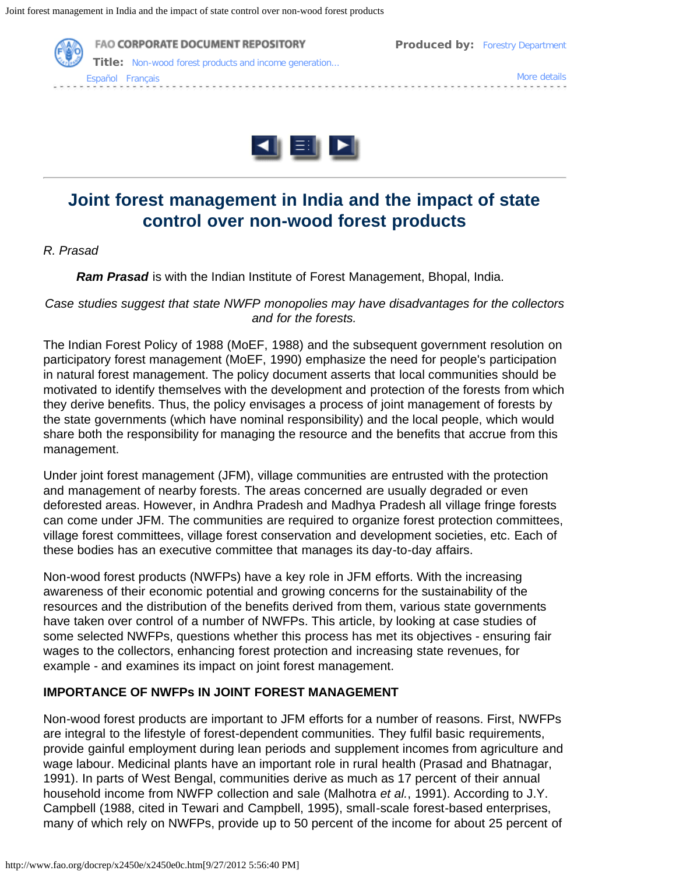Joint forest management in India and the impact of state control over non-wood forest products

FAO CORPORATE DOCUMENT REPOSITORY **Produced by:** [Forestry Department](http://www.fao.org/forestry/en/) **Title:** Non-wood forest products and income generation... [Español](http://www.fao.org/docrep/x2450s/x2450s00.htm) [Français](http://www.fao.org/docrep/x2450f/x2450f00.htm) [More details](javascript:openWindow()



# **Joint forest management in India and the impact of state control over non-wood forest products**

#### *R. Prasad*

*Ram Prasad* is with the Indian Institute of Forest Management, Bhopal, India.

*Case studies suggest that state NWFP monopolies may have disadvantages for the collectors and for the forests.*

The Indian Forest Policy of 1988 (MoEF, 1988) and the subsequent government resolution on participatory forest management (MoEF, 1990) emphasize the need for people's participation in natural forest management. The policy document asserts that local communities should be motivated to identify themselves with the development and protection of the forests from which they derive benefits. Thus, the policy envisages a process of joint management of forests by the state governments (which have nominal responsibility) and the local people, which would share both the responsibility for managing the resource and the benefits that accrue from this management.

Under joint forest management (JFM), village communities are entrusted with the protection and management of nearby forests. The areas concerned are usually degraded or even deforested areas. However, in Andhra Pradesh and Madhya Pradesh all village fringe forests can come under JFM. The communities are required to organize forest protection committees, village forest committees, village forest conservation and development societies, etc. Each of these bodies has an executive committee that manages its day-to-day affairs.

Non-wood forest products (NWFPs) have a key role in JFM efforts. With the increasing awareness of their economic potential and growing concerns for the sustainability of the resources and the distribution of the benefits derived from them, various state governments have taken over control of a number of NWFPs. This article, by looking at case studies of some selected NWFPs, questions whether this process has met its objectives - ensuring fair wages to the collectors, enhancing forest protection and increasing state revenues, for example - and examines its impact on joint forest management.

# **IMPORTANCE OF NWFPs IN JOINT FOREST MANAGEMENT**

Non-wood forest products are important to JFM efforts for a number of reasons. First, NWFPs are integral to the lifestyle of forest-dependent communities. They fulfil basic requirements, provide gainful employment during lean periods and supplement incomes from agriculture and wage labour. Medicinal plants have an important role in rural health (Prasad and Bhatnagar, 1991). In parts of West Bengal, communities derive as much as 17 percent of their annual household income from NWFP collection and sale (Malhotra *et al.*, 1991). According to J.Y. Campbell (1988, cited in Tewari and Campbell, 1995), small-scale forest-based enterprises, many of which rely on NWFPs, provide up to 50 percent of the income for about 25 percent of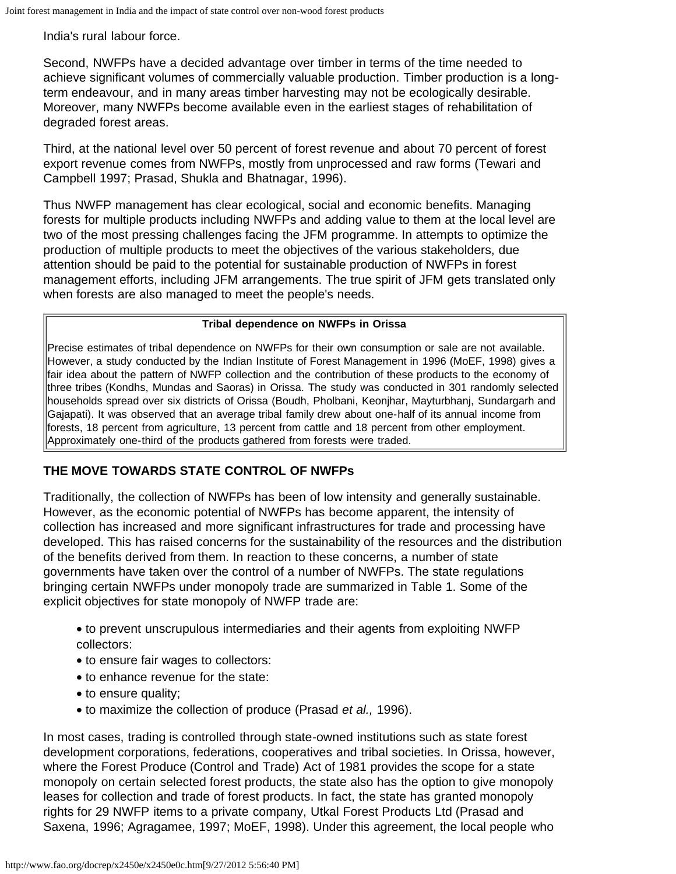India's rural labour force.

Second, NWFPs have a decided advantage over timber in terms of the time needed to achieve significant volumes of commercially valuable production. Timber production is a longterm endeavour, and in many areas timber harvesting may not be ecologically desirable. Moreover, many NWFPs become available even in the earliest stages of rehabilitation of degraded forest areas.

Third, at the national level over 50 percent of forest revenue and about 70 percent of forest export revenue comes from NWFPs, mostly from unprocessed and raw forms (Tewari and Campbell 1997; Prasad, Shukla and Bhatnagar, 1996).

Thus NWFP management has clear ecological, social and economic benefits. Managing forests for multiple products including NWFPs and adding value to them at the local level are two of the most pressing challenges facing the JFM programme. In attempts to optimize the production of multiple products to meet the objectives of the various stakeholders, due attention should be paid to the potential for sustainable production of NWFPs in forest management efforts, including JFM arrangements. The true spirit of JFM gets translated only when forests are also managed to meet the people's needs.

#### **Tribal dependence on NWFPs in Orissa**

Precise estimates of tribal dependence on NWFPs for their own consumption or sale are not available. However, a study conducted by the Indian Institute of Forest Management in 1996 (MoEF, 1998) gives a fair idea about the pattern of NWFP collection and the contribution of these products to the economy of three tribes (Kondhs, Mundas and Saoras) in Orissa. The study was conducted in 301 randomly selected households spread over six districts of Orissa (Boudh, Pholbani, Keonjhar, Mayturbhanj, Sundargarh and Gajapati). It was observed that an average tribal family drew about one-half of its annual income from forests, 18 percent from agriculture, 13 percent from cattle and 18 percent from other employment. Approximately one-third of the products gathered from forests were traded.

# **THE MOVE TOWARDS STATE CONTROL OF NWFPs**

Traditionally, the collection of NWFPs has been of low intensity and generally sustainable. However, as the economic potential of NWFPs has become apparent, the intensity of collection has increased and more significant infrastructures for trade and processing have developed. This has raised concerns for the sustainability of the resources and the distribution of the benefits derived from them. In reaction to these concerns, a number of state governments have taken over the control of a number of NWFPs. The state regulations bringing certain NWFPs under monopoly trade are summarized in Table 1. Some of the explicit objectives for state monopoly of NWFP trade are:

· to prevent unscrupulous intermediaries and their agents from exploiting NWFP collectors:

- · to ensure fair wages to collectors:
- · to enhance revenue for the state:
- · to ensure quality;
- · to maximize the collection of produce (Prasad *et al.,* 1996).

In most cases, trading is controlled through state-owned institutions such as state forest development corporations, federations, cooperatives and tribal societies. In Orissa, however, where the Forest Produce (Control and Trade) Act of 1981 provides the scope for a state monopoly on certain selected forest products, the state also has the option to give monopoly leases for collection and trade of forest products. In fact, the state has granted monopoly rights for 29 NWFP items to a private company, Utkal Forest Products Ltd (Prasad and Saxena, 1996; Agragamee, 1997; MoEF, 1998). Under this agreement, the local people who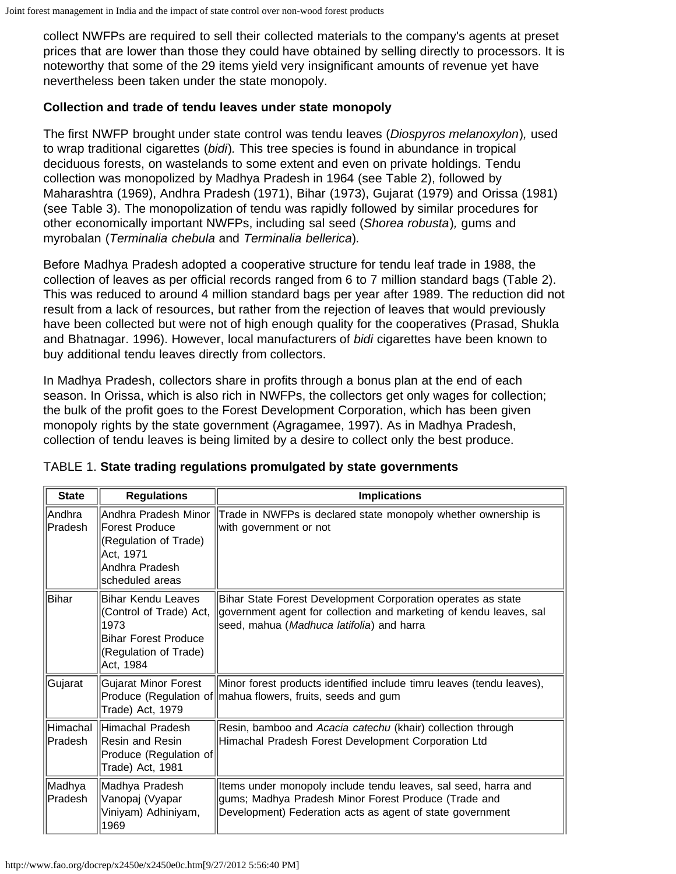collect NWFPs are required to sell their collected materials to the company's agents at preset prices that are lower than those they could have obtained by selling directly to processors. It is noteworthy that some of the 29 items yield very insignificant amounts of revenue yet have nevertheless been taken under the state monopoly.

#### **Collection and trade of tendu leaves under state monopoly**

The first NWFP brought under state control was tendu leaves (*Diospyros melanoxylon*)*,* used to wrap traditional cigarettes (*bidi*)*.* This tree species is found in abundance in tropical deciduous forests, on wastelands to some extent and even on private holdings. Tendu collection was monopolized by Madhya Pradesh in 1964 (see Table 2), followed by Maharashtra (1969), Andhra Pradesh (1971), Bihar (1973), Gujarat (1979) and Orissa (1981) (see Table 3). The monopolization of tendu was rapidly followed by similar procedures for other economically important NWFPs, including sal seed (*Shorea robusta*)*,* gums and myrobalan (*Terminalia chebula* and *Terminalia bellerica*)*.*

Before Madhya Pradesh adopted a cooperative structure for tendu leaf trade in 1988, the collection of leaves as per official records ranged from 6 to 7 million standard bags (Table 2). This was reduced to around 4 million standard bags per year after 1989. The reduction did not result from a lack of resources, but rather from the rejection of leaves that would previously have been collected but were not of high enough quality for the cooperatives (Prasad, Shukla and Bhatnagar. 1996). However, local manufacturers of *bidi* cigarettes have been known to buy additional tendu leaves directly from collectors.

In Madhya Pradesh, collectors share in profits through a bonus plan at the end of each season. In Orissa, which is also rich in NWFPs, the collectors get only wages for collection; the bulk of the profit goes to the Forest Development Corporation, which has been given monopoly rights by the state government (Agragamee, 1997). As in Madhya Pradesh, collection of tendu leaves is being limited by a desire to collect only the best produce.

| <b>State</b>         | <b>Regulations</b>                                                                                                                | <b>Implications</b>                                                                                                                                                                 |
|----------------------|-----------------------------------------------------------------------------------------------------------------------------------|-------------------------------------------------------------------------------------------------------------------------------------------------------------------------------------|
| Andhra<br>Pradesh    | lAndhra Pradesh Minor<br><b>Forest Produce</b><br>(Regulation of Trade)<br>Act, 1971 <br>lAndhra Pradesh<br>lscheduled areas      | Trade in NWFPs is declared state monopoly whether ownership is<br>with government or not                                                                                            |
| <b>Bihar</b>         | <b>Bihar Kendu Leaves</b><br>(Control of Trade) Act,<br>1973<br><b>Bihar Forest Produce</b><br>(Regulation of Trade)<br>Act, 1984 | Bihar State Forest Development Corporation operates as state<br>government agent for collection and marketing of kendu leaves, sal<br>seed, mahua (Madhuca latifolia) and harra     |
| Gujarat              | Gujarat Minor Forest<br>Trade) Act, 1979                                                                                          | Minor forest products identified include timru leaves (tendu leaves),<br>Produce (Regulation of mahua flowers, fruits, seeds and gum                                                |
| Himachal<br>lPradesh | Himachal Pradesh<br>Resin and Resin<br>Produce (Regulation of<br>Trade) Act, 1981                                                 | Resin, bamboo and Acacia catechu (khair) collection through<br>Himachal Pradesh Forest Development Corporation Ltd                                                                  |
| Madhya<br>Pradesh    | Madhya Pradesh<br>Vanopaj (Vyapar<br>Viniyam) Adhiniyam,<br>1969                                                                  | Items under monopoly include tendu leaves, sal seed, harra and<br>gums; Madhya Pradesh Minor Forest Produce (Trade and<br>Development) Federation acts as agent of state government |

TABLE 1. **State trading regulations promulgated by state governments**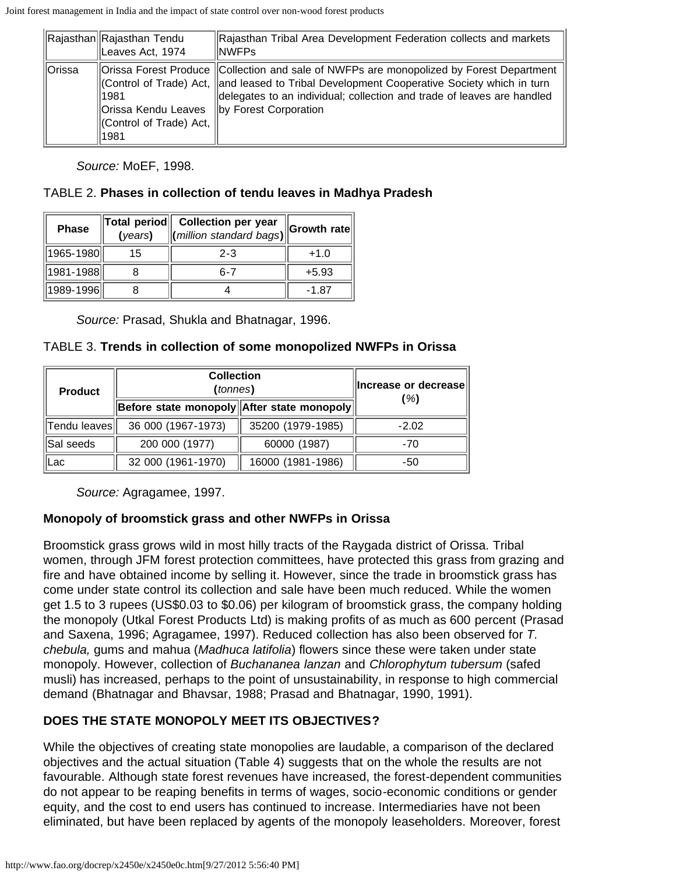|               | Rajasthan Rajasthan Tendu<br>Leaves Act, 1974                   | Rajasthan Tribal Area Development Federation collects and markets<br><b>INWFPs</b>                                                                                                                                                                                                          |
|---------------|-----------------------------------------------------------------|---------------------------------------------------------------------------------------------------------------------------------------------------------------------------------------------------------------------------------------------------------------------------------------------|
| <b>Orissa</b> | 1981<br>  Orissa Kendu Leaves<br>Control of Trade) Act,<br>1981 | Orissa Forest Produce   Collection and sale of NWFPs are monopolized by Forest Department<br>Control of Trade) Act,   and leased to Tribal Development Cooperative Society which in turn<br>delegates to an individual; collection and trade of leaves are handled<br>by Forest Corporation |

*Source:* MoEF, 1998.

## TABLE 2. **Phases in collection of tendu leaves in Madhya Pradesh**

| <b>Phase</b> | Total period<br>( <i>years</i> ) | <b>Collection per year</b><br>(million standard bags) | <b>Srowth rate</b> |
|--------------|----------------------------------|-------------------------------------------------------|--------------------|
| 1965-1980    | 15                               | $2 - 3$                                               | $+1.0$             |
| 1981-1988    |                                  | հ-7                                                   | $+5.93$            |
| 1989-1996    |                                  |                                                       | -1.87              |

*Source:* Prasad, Shukla and Bhatnagar, 1996.

#### TABLE 3. **Trends in collection of some monopolized NWFPs in Orissa**

| <b>Product</b> | <b>Collection</b><br>(tonnes)              | ∥Increase or decrease∥<br>(%) |         |  |
|----------------|--------------------------------------------|-------------------------------|---------|--|
|                | Before state monopoly After state monopoly |                               |         |  |
| Tendu leaves   | 36 000 (1967-1973)                         | 35200 (1979-1985)             | $-2.02$ |  |
| Sal seeds      | 200 000 (1977)                             | 60000 (1987)                  | $-70$   |  |
| Lac            | 32 000 (1961-1970)                         | 16000 (1981-1986)             | -50     |  |

*Source:* Agragamee, 1997.

# **Monopoly of broomstick grass and other NWFPs in Orissa**

Broomstick grass grows wild in most hilly tracts of the Raygada district of Orissa. Tribal women, through JFM forest protection committees, have protected this grass from grazing and fire and have obtained income by selling it. However, since the trade in broomstick grass has come under state control its collection and sale have been much reduced. While the women get 1.5 to 3 rupees (US\$0.03 to \$0.06) per kilogram of broomstick grass, the company holding the monopoly (Utkal Forest Products Ltd) is making profits of as much as 600 percent (Prasad and Saxena, 1996; Agragamee, 1997). Reduced collection has also been observed for *T. chebula,* gums and mahua (*Madhuca latifolia*) flowers since these were taken under state monopoly. However, collection of *Buchananea lanzan* and *Chlorophytum tubersum* (safed musli) has increased, perhaps to the point of unsustainability, in response to high commercial demand (Bhatnagar and Bhavsar, 1988; Prasad and Bhatnagar, 1990, 1991).

# **DOES THE STATE MONOPOLY MEET ITS OBJECTIVES?**

While the objectives of creating state monopolies are laudable, a comparison of the declared objectives and the actual situation (Table 4) suggests that on the whole the results are not favourable. Although state forest revenues have increased, the forest-dependent communities do not appear to be reaping benefits in terms of wages, socio-economic conditions or gender equity, and the cost to end users has continued to increase. Intermediaries have not been eliminated, but have been replaced by agents of the monopoly leaseholders. Moreover, forest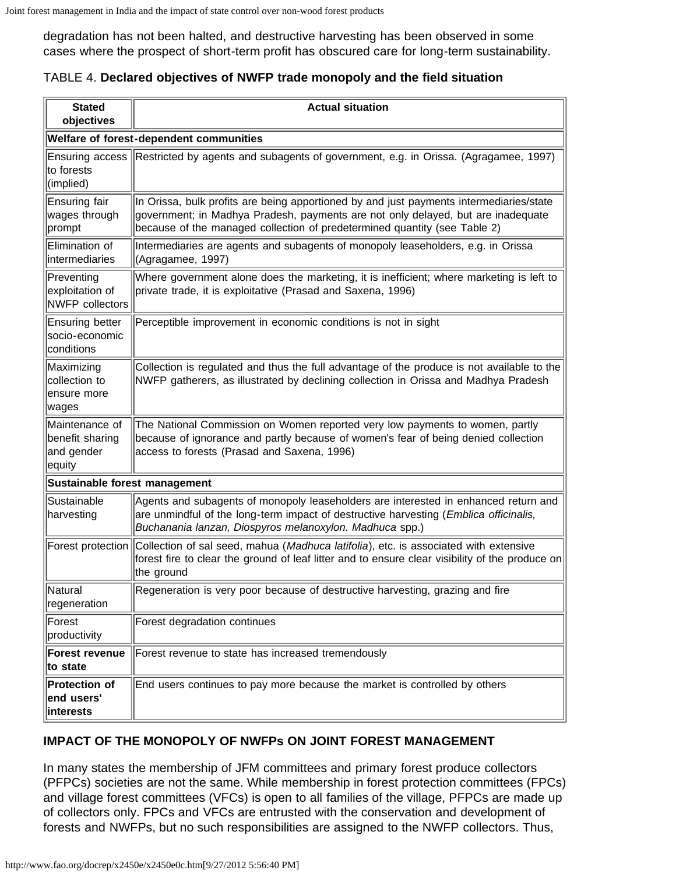degradation has not been halted, and destructive harvesting has been observed in some cases where the prospect of short-term profit has obscured care for long-term sustainability.

## TABLE 4. **Declared objectives of NWFP trade monopoly and the field situation**

| <b>Stated</b><br>objectives                               | <b>Actual situation</b>                                                                                                                                                                                                                                  |  |  |  |  |
|-----------------------------------------------------------|----------------------------------------------------------------------------------------------------------------------------------------------------------------------------------------------------------------------------------------------------------|--|--|--|--|
| Welfare of forest-dependent communities                   |                                                                                                                                                                                                                                                          |  |  |  |  |
| Ensuring access<br>to forests<br>(implied)                | Restricted by agents and subagents of government, e.g. in Orissa. (Agragamee, 1997)                                                                                                                                                                      |  |  |  |  |
| Ensuring fair<br>wages through<br>prompt                  | In Orissa, bulk profits are being apportioned by and just payments intermediaries/state<br>government; in Madhya Pradesh, payments are not only delayed, but are inadequate<br>because of the managed collection of predetermined quantity (see Table 2) |  |  |  |  |
| Elimination of<br>intermediaries                          | Intermediaries are agents and subagents of monopoly leaseholders, e.g. in Orissa<br>(Agragamee, 1997)                                                                                                                                                    |  |  |  |  |
| Preventing<br>exploitation of<br><b>NWFP</b> collectors   | Where government alone does the marketing, it is inefficient; where marketing is left to<br>private trade, it is exploitative (Prasad and Saxena, 1996)                                                                                                  |  |  |  |  |
| <b>Ensuring better</b><br>socio-economic<br>conditions    | Perceptible improvement in economic conditions is not in sight                                                                                                                                                                                           |  |  |  |  |
| Maximizing<br>collection to<br>ensure more<br>wages       | Collection is regulated and thus the full advantage of the produce is not available to the<br>NWFP gatherers, as illustrated by declining collection in Orissa and Madhya Pradesh                                                                        |  |  |  |  |
| Maintenance of<br>benefit sharing<br>and gender<br>equity | The National Commission on Women reported very low payments to women, partly<br>because of ignorance and partly because of women's fear of being denied collection<br>access to forests (Prasad and Saxena, 1996)                                        |  |  |  |  |
| Sustainable forest management                             |                                                                                                                                                                                                                                                          |  |  |  |  |
| Sustainable<br>harvesting                                 | Agents and subagents of monopoly leaseholders are interested in enhanced return and<br>are unmindful of the long-term impact of destructive harvesting (Emblica officinalis,<br>Buchanania lanzan, Diospyros melanoxylon. Madhuca spp.)                  |  |  |  |  |
|                                                           | Forest protection Collection of sal seed, mahua (Madhuca latifolia), etc. is associated with extensive<br>forest fire to clear the ground of leaf litter and to ensure clear visibility of the produce on<br>the ground                                  |  |  |  |  |
| Natural<br>regeneration                                   | Regeneration is very poor because of destructive harvesting, grazing and fire                                                                                                                                                                            |  |  |  |  |
| Forest<br>productivity                                    | Forest degradation continues                                                                                                                                                                                                                             |  |  |  |  |
| <b>Forest revenue</b><br>to state                         | Forest revenue to state has increased tremendously                                                                                                                                                                                                       |  |  |  |  |
| <b>Protection of</b><br>end users'<br>interests           | End users continues to pay more because the market is controlled by others                                                                                                                                                                               |  |  |  |  |

# **IMPACT OF THE MONOPOLY OF NWFPs ON JOINT FOREST MANAGEMENT**

In many states the membership of JFM committees and primary forest produce collectors (PFPCs) societies are not the same. While membership in forest protection committees (FPCs) and village forest committees (VFCs) is open to all families of the village, PFPCs are made up of collectors only. FPCs and VFCs are entrusted with the conservation and development of forests and NWFPs, but no such responsibilities are assigned to the NWFP collectors. Thus,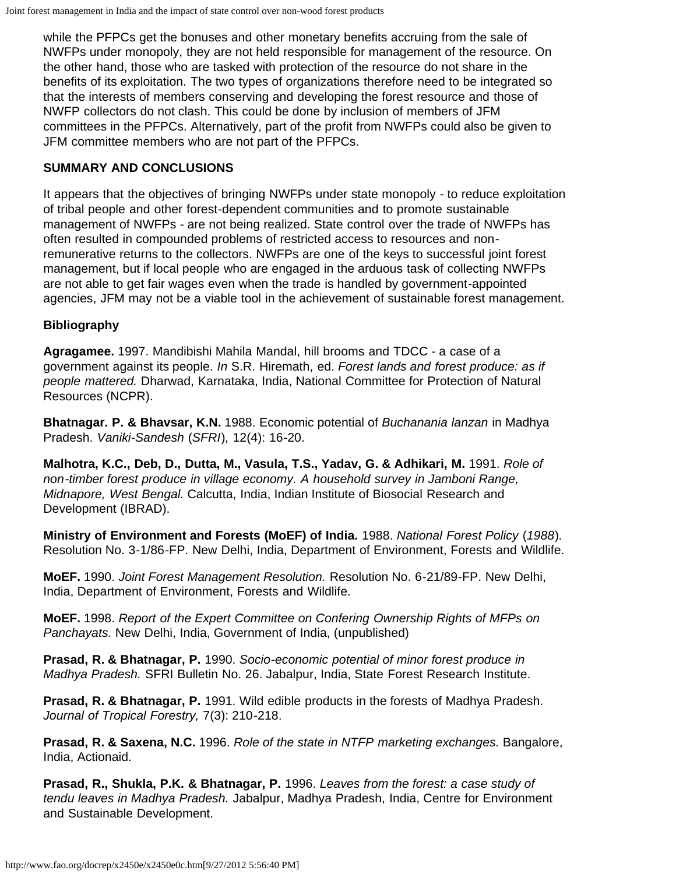while the PFPCs get the bonuses and other monetary benefits accruing from the sale of NWFPs under monopoly, they are not held responsible for management of the resource. On the other hand, those who are tasked with protection of the resource do not share in the benefits of its exploitation. The two types of organizations therefore need to be integrated so that the interests of members conserving and developing the forest resource and those of NWFP collectors do not clash. This could be done by inclusion of members of JFM committees in the PFPCs. Alternatively, part of the profit from NWFPs could also be given to JFM committee members who are not part of the PFPCs.

#### **SUMMARY AND CONCLUSIONS**

It appears that the objectives of bringing NWFPs under state monopoly - to reduce exploitation of tribal people and other forest-dependent communities and to promote sustainable management of NWFPs - are not being realized. State control over the trade of NWFPs has often resulted in compounded problems of restricted access to resources and nonremunerative returns to the collectors. NWFPs are one of the keys to successful joint forest management, but if local people who are engaged in the arduous task of collecting NWFPs are not able to get fair wages even when the trade is handled by government-appointed agencies, JFM may not be a viable tool in the achievement of sustainable forest management.

# **Bibliography**

**Agragamee.** 1997. Mandibishi Mahila Mandal, hill brooms and TDCC - a case of a government against its people. *In* S.R. Hiremath, ed. *Forest lands and forest produce: as if people mattered.* Dharwad, Karnataka, India, National Committee for Protection of Natural Resources (NCPR).

**Bhatnagar. P. & Bhavsar, K.N.** 1988. Economic potential of *Buchanania lanzan* in Madhya Pradesh. *Vaniki-Sandesh* (*SFRI*)*,* 12(4): 16-20.

**Malhotra, K.C., Deb, D., Dutta, M., Vasula, T.S., Yadav, G. & Adhikari, M.** 1991. *Role of non-timber forest produce in village economy. A household survey in Jamboni Range, Midnapore, West Bengal.* Calcutta, India, Indian Institute of Biosocial Research and Development (IBRAD).

**Ministry of Environment and Forests (MoEF) of India.** 1988. *National Forest Policy* (*1988*)*.* Resolution No. 3-1/86-FP. New Delhi, India, Department of Environment, Forests and Wildlife.

**MoEF.** 1990. *Joint Forest Management Resolution.* Resolution No. 6-21/89-FP. New Delhi, India, Department of Environment, Forests and Wildlife.

**MoEF.** 1998. *Report of the Expert Committee on Confering Ownership Rights of MFPs on Panchayats.* New Delhi, India, Government of India, (unpublished)

**Prasad, R. & Bhatnagar, P.** 1990. *Socio-economic potential of minor forest produce in Madhya Pradesh.* SFRI Bulletin No. 26. Jabalpur, India, State Forest Research Institute.

**Prasad, R. & Bhatnagar, P.** 1991. Wild edible products in the forests of Madhya Pradesh. *Journal of Tropical Forestry,* 7(3): 210-218.

**Prasad, R. & Saxena, N.C.** 1996. *Role of the state in NTFP marketing exchanges.* Bangalore, India, Actionaid.

**Prasad, R., Shukla, P.K. & Bhatnagar, P.** 1996. *Leaves from the forest: a case study of tendu leaves in Madhya Pradesh.* Jabalpur, Madhya Pradesh, India, Centre for Environment and Sustainable Development.